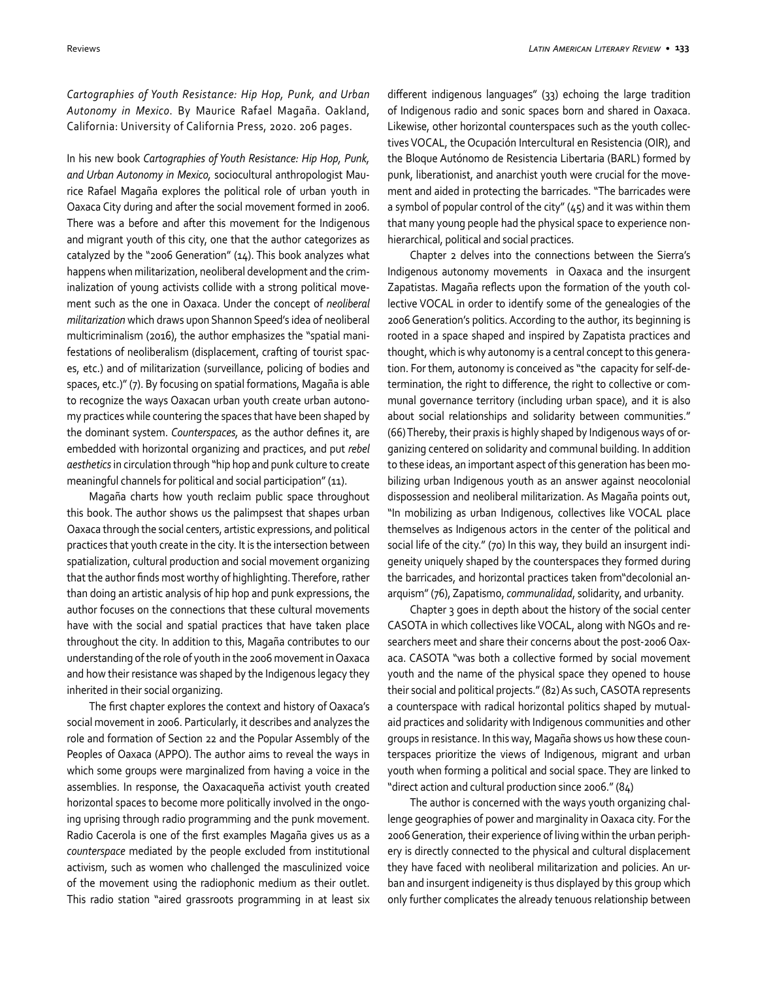*Cartographies of Youth Resistance: Hip Hop, Punk, and Urban Autonomy in Mexico*. By Maurice Rafael Magaña. Oakland, California: University of California Press, 2020. 206 pages.

In his new book *Cartographies of Youth Resistance: Hip Hop, Punk, and Urban Autonomy in Mexico,* sociocultural anthropologist Maurice Rafael Magaña explores the political role of urban youth in Oaxaca City during and after the social movement formed in 2006. There was a before and after this movement for the Indigenous and migrant youth of this city, one that the author categorizes as catalyzed by the "2006 Generation" (14). This book analyzes what happens when militarization, neoliberal development and the criminalization of young activists collide with a strong political movement such as the one in Oaxaca. Under the concept of *neoliberal militarization* which draws upon Shannon Speed's idea of neoliberal multicriminalism (2016), the author emphasizes the "spatial manifestations of neoliberalism (displacement, crafting of tourist spaces, etc.) and of militarization (surveillance, policing of bodies and spaces, etc.)" (7). By focusing on spatial formations, Magaña is able to recognize the ways Oaxacan urban youth create urban autonomy practices while countering the spaces that have been shaped by the dominant system. *Counterspaces,* as the author defines it, are embedded with horizontal organizing and practices, and put *rebel aesthetics* in circulation through "hip hop and punk culture to create meaningful channels for political and social participation" (11).

Magaña charts how youth reclaim public space throughout this book. The author shows us the palimpsest that shapes urban Oaxaca through the social centers, artistic expressions, and political practices that youth create in the city. It is the intersection between spatialization, cultural production and social movement organizing that the author finds most worthy of highlighting. Therefore, rather than doing an artistic analysis of hip hop and punk expressions, the author focuses on the connections that these cultural movements have with the social and spatial practices that have taken place throughout the city. In addition to this, Magaña contributes to our understanding of the role of youth in the 2006 movement in Oaxaca and how their resistance was shaped by the Indigenous legacy they inherited in their social organizing.

The first chapter explores the context and history of Oaxaca's social movement in 2006. Particularly, it describes and analyzes the role and formation of Section 22 and the Popular Assembly of the Peoples of Oaxaca (APPO). The author aims to reveal the ways in which some groups were marginalized from having a voice in the assemblies. In response, the Oaxacaqueña activist youth created horizontal spaces to become more politically involved in the ongoing uprising through radio programming and the punk movement. Radio Cacerola is one of the first examples Magaña gives us as a *counterspace* mediated by the people excluded from institutional activism, such as women who challenged the masculinized voice of the movement using the radiophonic medium as their outlet. This radio station "aired grassroots programming in at least six different indigenous languages" (33) echoing the large tradition of Indigenous radio and sonic spaces born and shared in Oaxaca. Likewise, other horizontal counterspaces such as the youth collectives VOCAL, the Ocupación Intercultural en Resistencia (OIR), and the Bloque Autónomo de Resistencia Libertaria (BARL) formed by punk, liberationist, and anarchist youth were crucial for the movement and aided in protecting the barricades. "The barricades were a symbol of popular control of the city" (45) and it was within them that many young people had the physical space to experience nonhierarchical, political and social practices.

Chapter 2 delves into the connections between the Sierra's Indigenous autonomy movements in Oaxaca and the insurgent Zapatistas. Magaña reflects upon the formation of the youth collective VOCAL in order to identify some of the genealogies of the 2006 Generation's politics. According to the author, its beginning is rooted in a space shaped and inspired by Zapatista practices and thought, which is why autonomy is a central concept to this generation. For them, autonomy is conceived as "the capacity for self-determination, the right to difference, the right to collective or communal governance territory (including urban space), and it is also about social relationships and solidarity between communities." (66) Thereby, their praxis is highly shaped by Indigenous ways of organizing centered on solidarity and communal building. In addition to these ideas, an important aspect of this generation has been mobilizing urban Indigenous youth as an answer against neocolonial dispossession and neoliberal militarization. As Magaña points out, "In mobilizing as urban Indigenous, collectives like VOCAL place themselves as Indigenous actors in the center of the political and social life of the city." (70) In this way, they build an insurgent indigeneity uniquely shaped by the counterspaces they formed during the barricades, and horizontal practices taken from"decolonial anarquism" (76), Zapatismo, *communalidad*, solidarity, and urbanity.

Chapter 3 goes in depth about the history of the social center CASOTA in which collectives like VOCAL, along with NGOs and researchers meet and share their concerns about the post-2006 Oaxaca. CASOTA "was both a collective formed by social movement youth and the name of the physical space they opened to house their social and political projects." (82) As such, CASOTA represents a counterspace with radical horizontal politics shaped by mutualaid practices and solidarity with Indigenous communities and other groups in resistance. In this way, Magaña shows us how these counterspaces prioritize the views of Indigenous, migrant and urban youth when forming a political and social space. They are linked to "direct action and cultural production since 2006." (84)

The author is concerned with the ways youth organizing challenge geographies of power and marginality in Oaxaca city. For the 2006 Generation, their experience of living within the urban periphery is directly connected to the physical and cultural displacement they have faced with neoliberal militarization and policies. An urban and insurgent indigeneity is thus displayed by this group which only further complicates the already tenuous relationship between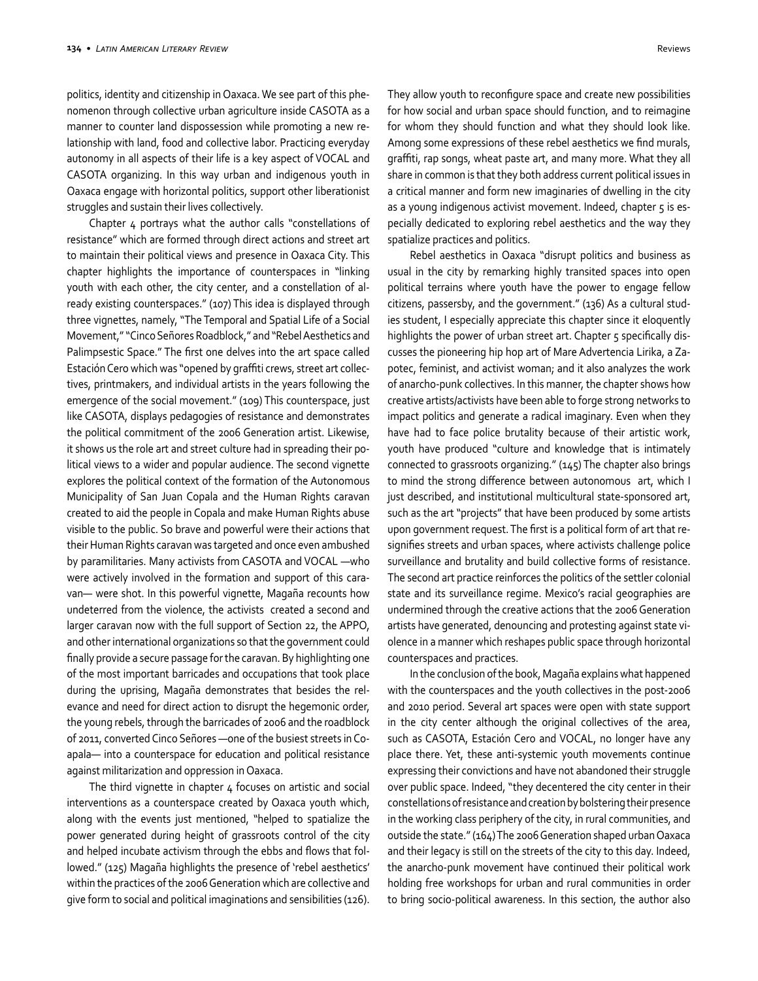politics, identity and citizenship in Oaxaca. We see part of this phenomenon through collective urban agriculture inside CASOTA as a manner to counter land dispossession while promoting a new relationship with land, food and collective labor. Practicing everyday autonomy in all aspects of their life is a key aspect of VOCAL and CASOTA organizing. In this way urban and indigenous youth in Oaxaca engage with horizontal politics, support other liberationist struggles and sustain their lives collectively.

Chapter 4 portrays what the author calls "constellations of resistance" which are formed through direct actions and street art to maintain their political views and presence in Oaxaca City. This chapter highlights the importance of counterspaces in "linking youth with each other, the city center, and a constellation of already existing counterspaces." (107) This idea is displayed through three vignettes, namely, "The Temporal and Spatial Life of a Social Movement," "Cinco Señores Roadblock," and "Rebel Aesthetics and Palimpsestic Space." The first one delves into the art space called Estación Cero which was "opened by graffiti crews, street art collectives, printmakers, and individual artists in the years following the emergence of the social movement." (109) This counterspace, just like CASOTA, displays pedagogies of resistance and demonstrates the political commitment of the 2006 Generation artist. Likewise, it shows us the role art and street culture had in spreading their political views to a wider and popular audience. The second vignette explores the political context of the formation of the Autonomous Municipality of San Juan Copala and the Human Rights caravan created to aid the people in Copala and make Human Rights abuse visible to the public. So brave and powerful were their actions that their Human Rights caravan was targeted and once even ambushed by paramilitaries. Many activists from CASOTA and VOCAL —who were actively involved in the formation and support of this caravan— were shot. In this powerful vignette, Magaña recounts how undeterred from the violence, the activists created a second and larger caravan now with the full support of Section 22, the APPO, and other international organizations so that the government could finally provide a secure passage for the caravan. By highlighting one of the most important barricades and occupations that took place during the uprising, Magaña demonstrates that besides the relevance and need for direct action to disrupt the hegemonic order, the young rebels, through the barricades of 2006 and the roadblock of 2011, converted Cinco Señores —one of the busiest streets in Coapala— into a counterspace for education and political resistance against militarization and oppression in Oaxaca.

The third vignette in chapter 4 focuses on artistic and social interventions as a counterspace created by Oaxaca youth which, along with the events just mentioned, "helped to spatialize the power generated during height of grassroots control of the city and helped incubate activism through the ebbs and flows that followed." (125) Magaña highlights the presence of 'rebel aesthetics' within the practices of the 2006 Generation which are collective and give form to social and political imaginations and sensibilities (126).

They allow youth to reconfigure space and create new possibilities for how social and urban space should function, and to reimagine for whom they should function and what they should look like. Among some expressions of these rebel aesthetics we find murals, graffiti, rap songs, wheat paste art, and many more. What they all share in common is that they both address current political issues in a critical manner and form new imaginaries of dwelling in the city as a young indigenous activist movement. Indeed, chapter 5 is especially dedicated to exploring rebel aesthetics and the way they spatialize practices and politics.

Rebel aesthetics in Oaxaca "disrupt politics and business as usual in the city by remarking highly transited spaces into open political terrains where youth have the power to engage fellow citizens, passersby, and the government." (136) As a cultural studies student, I especially appreciate this chapter since it eloquently highlights the power of urban street art. Chapter  $\zeta$  specifically discusses the pioneering hip hop art of Mare Advertencia Lirika, a Zapotec, feminist, and activist woman; and it also analyzes the work of anarcho-punk collectives. In this manner, the chapter shows how creative artists/activists have been able to forge strong networks to impact politics and generate a radical imaginary. Even when they have had to face police brutality because of their artistic work, youth have produced "culture and knowledge that is intimately connected to grassroots organizing." (145) The chapter also brings to mind the strong difference between autonomous art, which I just described, and institutional multicultural state-sponsored art, such as the art "projects" that have been produced by some artists upon government request. The first is a political form of art that resignifies streets and urban spaces, where activists challenge police surveillance and brutality and build collective forms of resistance. The second art practice reinforces the politics of the settler colonial state and its surveillance regime. Mexico's racial geographies are undermined through the creative actions that the 2006 Generation artists have generated, denouncing and protesting against state violence in a manner which reshapes public space through horizontal counterspaces and practices.

In the conclusion of the book, Magaña explains what happened with the counterspaces and the youth collectives in the post-2006 and 2010 period. Several art spaces were open with state support in the city center although the original collectives of the area, such as CASOTA, Estación Cero and VOCAL, no longer have any place there. Yet, these anti-systemic youth movements continue expressing their convictions and have not abandoned their struggle over public space. Indeed, "they decentered the city center in their constellations of resistance and creation by bolstering their presence in the working class periphery of the city, in rural communities, and outside the state." (164) The 2006 Generation shaped urban Oaxaca and their legacy is still on the streets of the city to this day. Indeed, the anarcho-punk movement have continued their political work holding free workshops for urban and rural communities in order to bring socio-political awareness. In this section, the author also